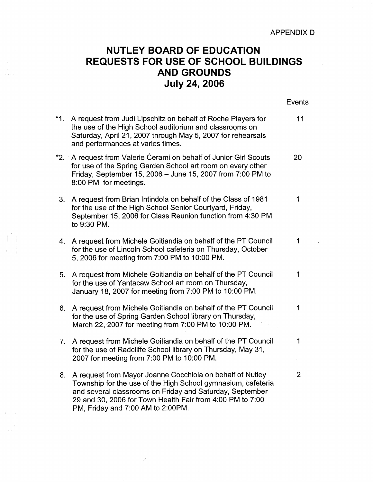## **NUTLEY BOARD OF EDUCATION**  <sup>I</sup>**REQUESTS FOR USE OF SCHOOL BUILDINGS AND GROUNDS July 24, 2006**

I

Events **\*1.** A request from Judi Lipschitz on behalf of Roche Players for 11 the use of the High School auditorium and classrooms on Saturday, April 21, 2007 through May 5, 2007 for rehearsals and performances at varies times. **\*2.** A request from Valerie Cerami on behalf of Junior Girl Scouts 20 for use of the Spring Garden School art room on every other Friday, September 15, 2006- June 15, 2007 from 7:00 PM to 8:00 PM for meetings. 3. A request from Brian Intindola on behalf of the Class of 1981 for the use of the High School Senior Courtyard, Friday, September 15, 2006 for Class Reunion function from 4:30 PM to 9:30 PM. 4. A request from Michele Goitiandia on behalf of the PT Council 1 for the use of Lincoln School cafeteria on Thursday, October 5, 2006 for meeting from 7:00 PM to 10:00 PM. 5. A request from Michele Goitiandia on behalf of the PT Council 1 for the use of Yantacaw School art room on Thursday, January 18, 2007 for meeting from 7:00 PM to 10:00 PM. 6. A request from Michele Goitiandia on behalf of the PT Council 1 for the use of Spring Garden School library on Thursday, March 22, 2007 for meeting from 7:00 PM to 10:00 PM. 7. A request from Michele Goitiandia on behalf of the PT Council 1 for the use of Radcliffe School library on Thursday, May 31, 2007 for meeting from 7:00 PM to 10:00 PM. 8. A request from Mayor Joanne Cocchiola on behalf of Nutley 2 Township for the use of the High School gymnasium, cafeteria and several classrooms on Friday and Saturday, September 29 and 30, 2006 for Town Health Fair from 4:00 PM to 7:00 PM, Friday and 7:00 AM to 2:00PM.